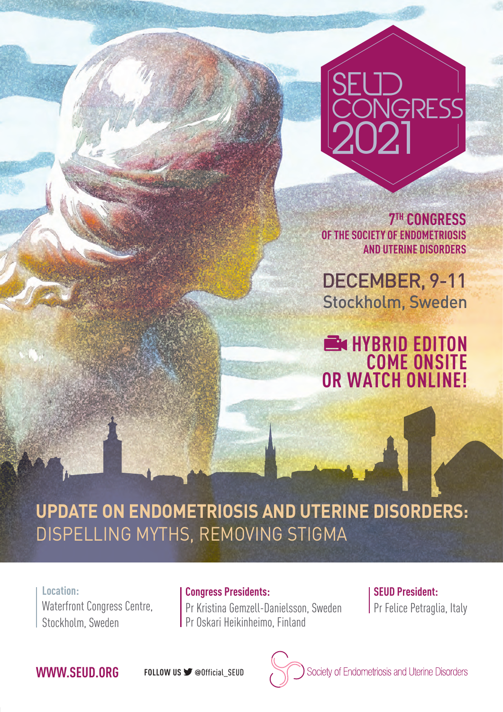# SEUD GRESS 2021

**7TH CONGRESS OF THE SOCIETY OF ENDOMETRIOSIS AND UTERINE DISORDERS**

DECEMBER, 9-11 Stockholm, Sweden

**HYBRID EDITON COME ONSITE OR WATCH ONLINE!**

## **UPDATE ON ENDOMETRIOSIS AND UTERINE DISORDERS:**  DISPELLING MYTHS, REMOVING STIGMA

**Location:**  Waterfront Congress Centre, Stockholm, Sweden

**Congress Presidents:** Pr Kristina Gemzell-Danielsson, Sweden Pr Oskari Heikinheimo, Finland

**SEUD President: Pr Felice Petraglia, Italy** 

### **WWW.SEUD.ORG FOLLOW US**  @Official\_SEUD

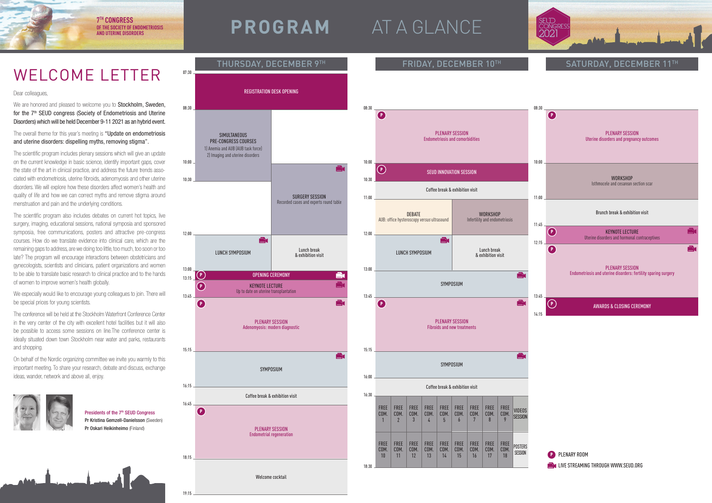### Welcome cocktail



**7TH CONGRESS OF THE SOCIETY OF ENDOMETRIOSIS** 

# THE SOCIETY OF ENDOMETRIOSIS **PROGRAM** AT A GLANCE

We are honored and pleased to welcome you to **Stockholm, Sweden,** for the 7<sup>th</sup> SEUD congress (Society of Endometriosis and Uterine Disorders) which will be held December 9-11 2021 as an hybrid event.

The overall theme for this year's meeting is "Update on endometriosis and uterine disorders: dispelling myths, removing stigma".

19:15







SATURDAY, DECEMBER 11TH

The conference will be held at the Stockholm Waterfront Conference Center in the very center of the city with excellent hotel facilities but it will also be possible to access some sessions on line.The conference center is ideally situated down town Stockholm near water and parks, restaurants and shopping.

### Dear colleagues,

Presidents of the 7<sup>th</sup> SEUD Congress Pr Kristina Gemzell-Danielsson (Sweden) Pr Oskari Heikinheimo (Finland)

The scientific program includes plenary sessions which will give an update on the current knowledge in basic science, identify important gaps, cover the state of the art in clinical practice, and address the future trends associated with endometriosis, uterine fibroids, adenomyosis and other uterine disorders. We will explore how these disorders affect women's health and quality of life and how we can correct myths and remove stigma around menstruation and pain and the underlying conditions.

The scientific program also includes debates on current hot topics, live surgery, imaging, educational sessions, national symposia and sponsored symposia, free communications, posters and attractive pre-congress courses. How do we translate evidence into clinical care, which are the remaining gaps to address, are we doing too little, too much, too soon or too late? The program will encourage interactions between obstetricians and gynecologists, scientists and clinicians, patient organizations and women to be able to translate basic research to clinical practice and to the hands of women to improve women's health globally.

We especially would like to encourage young colleagues to join. There will be special prices for young scientists.

On behalf of the Nordic organizing committee we invite you warmly to this important meeting. To share your research, debate and discuss, exchange ideas, wander, network and above all, enjoy.



# WELCOME LETTER